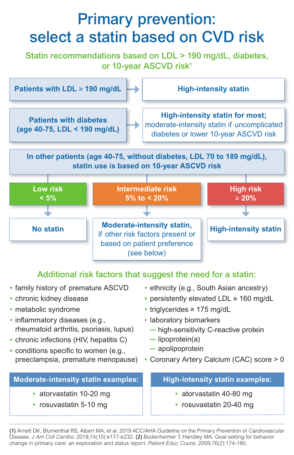## Primary prevention: select a statin based on CVD risk

Statin recommendations based on LDL > 190 mg/dL, diabetes, or 10-year ASCVD risk<sup>1</sup>



### Additional risk factors that suggest the need for a statin:

- family history of premature ASCVD
- chronic kidney disease
- metabolic syndrome
- inflammatory diseases (e.g., rheumatoid arthritis, psoriasis, lupus)
- chronic infections (HIV, hepatitis C)
- conditions specific to women (e.g., preeclampsia, premature menopause)

#### **Moderate-intensity statin examples:**

- atorvastatin 10-20 mg
- rosuvastatin 5-10 mg
- ethnicity (e.g., South Asian ancestry)
- persistently elevated LDL ≥ 160 mg/dL
- triglycerides ≥ 175 mg/dL
- laboratory biomarkers
	- high-sensitivity C-reactive protein
	- lipoprotein(a)
	- apolipoprotein
- Coronary Artery Calcium (CAC) score > 0

### **High-intensity statin examples:**

- atorvastatin 40-80 mg
- rosuvastatin 20-40 mg

(1) Arnett DK, Blumenthal RS, Albert MA, et al. 2019 ACC/AHA Guideline on the Primary Prevention of Cardiovascular Disease. *J Am Coll Cardiol.* 2019;74(10):e177-e232. (2) Bodenheimer T, Handley MA. Goal-setting for behavior change in primary care: an exploration and status report. *Patient Educ Couns.* 2009;76(2):174-180.